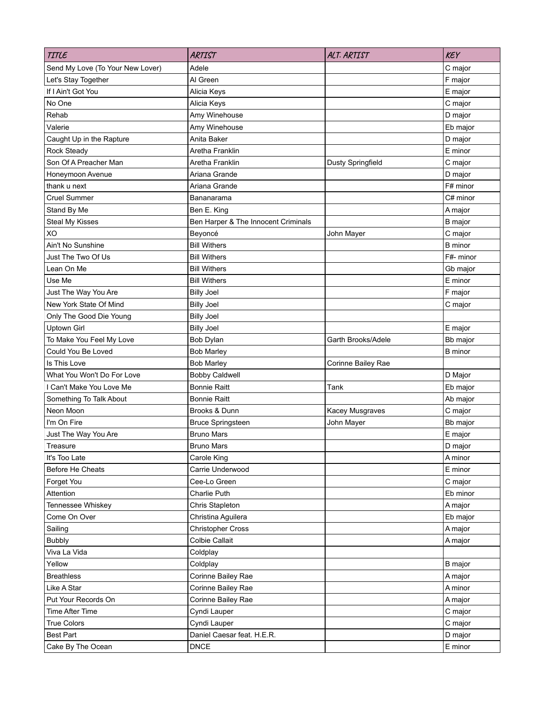| TITLE                            | <b>ARTIST</b>                       | ALT. ARTIST        | <b>KEY</b>     |
|----------------------------------|-------------------------------------|--------------------|----------------|
| Send My Love (To Your New Lover) | Adele                               |                    | C major        |
| Let's Stay Together              | Al Green                            |                    | F major        |
| If I Ain't Got You               | Alicia Keys                         |                    | E major        |
| No One                           | Alicia Keys                         |                    | C major        |
| Rehab                            | Amy Winehouse                       |                    | D major        |
| Valerie                          | Amy Winehouse                       |                    | Eb major       |
| Caught Up in the Rapture         | Anita Baker                         |                    | D major        |
| <b>Rock Steady</b>               | Aretha Franklin                     |                    | E minor        |
| Son Of A Preacher Man            | Aretha Franklin                     | Dusty Springfield  | C major        |
| Honeymoon Avenue                 | Ariana Grande                       |                    | D major        |
| thank u next                     | Ariana Grande                       |                    | F# minor       |
| <b>Cruel Summer</b>              | Bananarama                          |                    | C# minor       |
| Stand By Me                      | Ben E. King                         |                    | A major        |
| Steal My Kisses                  | Ben Harper & The Innocent Criminals |                    | <b>B</b> major |
| XO                               | Beyoncé                             | John Mayer         | C major        |
| Ain't No Sunshine                | <b>Bill Withers</b>                 |                    | <b>B</b> minor |
| Just The Two Of Us               | <b>Bill Withers</b>                 |                    | F#- minor      |
| Lean On Me                       | <b>Bill Withers</b>                 |                    | Gb major       |
| Use Me                           | <b>Bill Withers</b>                 |                    | E minor        |
| Just The Way You Are             | <b>Billy Joel</b>                   |                    | F major        |
| New York State Of Mind           | <b>Billy Joel</b>                   |                    | C major        |
| Only The Good Die Young          | <b>Billy Joel</b>                   |                    |                |
| <b>Uptown Girl</b>               | <b>Billy Joel</b>                   |                    | E major        |
| To Make You Feel My Love         | Bob Dylan                           | Garth Brooks/Adele | Bb major       |
| Could You Be Loved               | <b>Bob Marley</b>                   |                    | <b>B</b> minor |
| Is This Love                     | <b>Bob Marley</b>                   | Corinne Bailey Rae |                |
| What You Won't Do For Love       | <b>Bobby Caldwell</b>               |                    | D Major        |
| I Can't Make You Love Me         | <b>Bonnie Raitt</b>                 | Tank               | Eb major       |
| Something To Talk About          | <b>Bonnie Raitt</b>                 |                    | Ab major       |
| Neon Moon                        | Brooks & Dunn                       | Kacey Musgraves    | C major        |
| I'm On Fire                      | <b>Bruce Springsteen</b>            | John Mayer         | Bb major       |
| Just The Way You Are             | <b>Bruno Mars</b>                   |                    | E major        |
| Treasure                         | <b>Bruno Mars</b>                   |                    | D major        |
| It's Too Late                    | Carole King                         |                    | A minor        |
| Before He Cheats                 | Carrie Underwood                    |                    | $E$ minor      |
| Forget You                       | Cee-Lo Green                        |                    | C major        |
| Attention                        | Charlie Puth                        |                    | Eb minor       |
| Tennessee Whiskey                | Chris Stapleton                     |                    | A major        |
| Come On Over                     | Christina Aguilera                  |                    | Eb major       |
| Sailing                          | <b>Christopher Cross</b>            |                    | A major        |
| <b>Bubbly</b>                    | Colbie Callait                      |                    | A major        |
| Viva La Vida                     | Coldplay                            |                    |                |
| Yellow                           | Coldplay                            |                    | <b>B</b> major |
| <b>Breathless</b>                | Corinne Bailey Rae                  |                    | A major        |
| Like A Star                      | Corinne Bailey Rae                  |                    | A minor        |
| Put Your Records On              | Corinne Bailey Rae                  |                    | A major        |
| Time After Time                  | Cyndi Lauper                        |                    | C major        |
| <b>True Colors</b>               | Cyndi Lauper                        |                    | C major        |
| <b>Best Part</b>                 | Daniel Caesar feat. H.E.R.          |                    | D major        |
| Cake By The Ocean                | <b>DNCE</b>                         |                    | E minor        |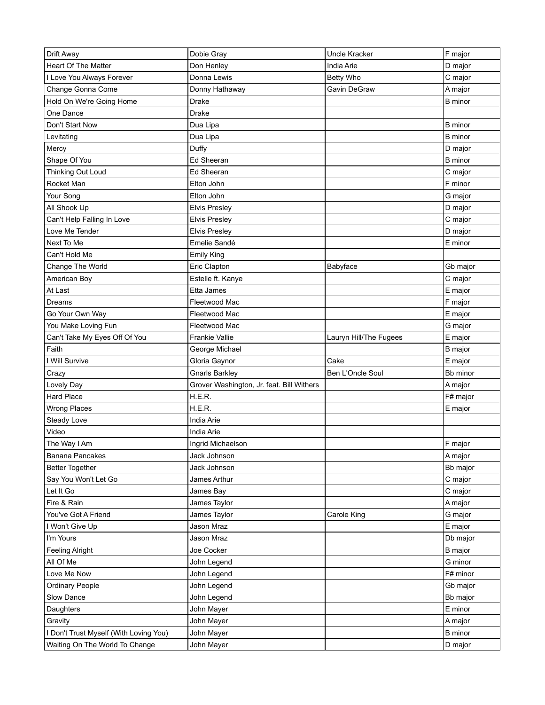| Drift Away                             | Dobie Gray                                | <b>Uncle Kracker</b>   | F major        |
|----------------------------------------|-------------------------------------------|------------------------|----------------|
| Heart Of The Matter                    | Don Henley                                | India Arie             | D major        |
| I Love You Always Forever              | Donna Lewis                               | <b>Betty Who</b>       | C major        |
| Change Gonna Come                      | Donny Hathaway                            | Gavin DeGraw           | A major        |
| Hold On We're Going Home               | Drake                                     |                        | <b>B</b> minor |
| One Dance                              | Drake                                     |                        |                |
| Don't Start Now                        | Dua Lipa                                  |                        | <b>B</b> minor |
| Levitating                             | Dua Lipa                                  |                        | <b>B</b> minor |
| Mercy                                  | Duffy                                     |                        | D major        |
| Shape Of You                           | Ed Sheeran                                |                        | <b>B</b> minor |
| Thinking Out Loud                      | Ed Sheeran                                |                        | C major        |
| Rocket Man                             | Elton John                                |                        | F minor        |
| Your Song                              | Elton John                                |                        | G major        |
| All Shook Up                           | <b>Elvis Presley</b>                      |                        | D major        |
| Can't Help Falling In Love             | <b>Elvis Presley</b>                      |                        | C major        |
| Love Me Tender                         | <b>Elvis Presley</b>                      |                        | D major        |
| Next To Me                             | Emelie Sandé                              |                        | E minor        |
| Can't Hold Me                          | <b>Emily King</b>                         |                        |                |
| Change The World                       | Eric Clapton                              | Babyface               | Gb major       |
| American Boy                           | Estelle ft. Kanye                         |                        | C major        |
| At Last                                | Etta James                                |                        | E major        |
| Dreams                                 | Fleetwood Mac                             |                        | F major        |
| Go Your Own Way                        | Fleetwood Mac                             |                        | E major        |
| You Make Loving Fun                    | Fleetwood Mac                             |                        | G major        |
| Can't Take My Eyes Off Of You          | <b>Frankie Vallie</b>                     | Lauryn Hill/The Fugees | E major        |
| Faith                                  | George Michael                            |                        | B major        |
| I Will Survive                         | Gloria Gaynor                             | Cake                   | E major        |
| Crazy                                  | <b>Gnarls Barkley</b>                     | Ben L'Oncle Soul       | Bb minor       |
| Lovely Day                             | Grover Washington, Jr. feat. Bill Withers |                        | A major        |
| Hard Place                             | H.E.R.                                    |                        | F# major       |
| <b>Wrong Places</b>                    | H.E.R.                                    |                        | E major        |
| Steady Love                            | India Arie                                |                        |                |
| Video                                  | India Arie                                |                        |                |
| The Way I Am                           | Ingrid Michaelson                         |                        | F major        |
| Banana Pancakes                        | Jack Johnson                              |                        | A major        |
| <b>Better Together</b>                 | Jack Johnson                              |                        | Bb major       |
| Say You Won't Let Go                   | James Arthur                              |                        | C major        |
| Let It Go                              | James Bay                                 |                        | C major        |
| Fire & Rain                            | James Taylor                              |                        | A major        |
| You've Got A Friend                    | James Taylor                              | Carole King            | G major        |
| I Won't Give Up                        | Jason Mraz                                |                        | E major        |
| I'm Yours                              | Jason Mraz                                |                        | Db major       |
| <b>Feeling Alright</b>                 | Joe Cocker                                |                        | <b>B</b> major |
| All Of Me                              | John Legend                               |                        | G minor        |
| Love Me Now                            | John Legend                               |                        | F# minor       |
| <b>Ordinary People</b>                 | John Legend                               |                        |                |
| Slow Dance                             | John Legend                               |                        | Gb major       |
| Daughters                              |                                           |                        | Bb major       |
| Gravity                                | John Mayer                                |                        | E minor        |
|                                        | John Mayer                                |                        | A major        |
| I Don't Trust Myself (With Loving You) | John Mayer                                |                        | <b>B</b> minor |
| Waiting On The World To Change         | John Mayer                                |                        | D major        |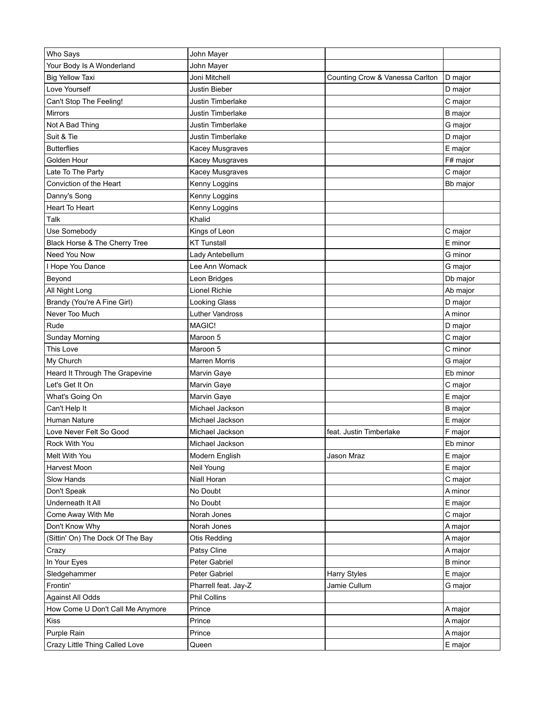| Who Says                         | John Mayer           |                                 |                     |
|----------------------------------|----------------------|---------------------------------|---------------------|
| Your Body Is A Wonderland        | John Mayer           |                                 |                     |
| <b>Big Yellow Taxi</b>           | Joni Mitchell        | Counting Crow & Vanessa Carlton | D major             |
| Love Yourself                    | Justin Bieber        |                                 | D major             |
| Can't Stop The Feeling!          | Justin Timberlake    |                                 | C major             |
| <b>Mirrors</b>                   | Justin Timberlake    |                                 | <b>B</b> major      |
| Not A Bad Thing                  | Justin Timberlake    |                                 | G major             |
| Suit & Tie                       | Justin Timberlake    |                                 | D major             |
| <b>Butterflies</b>               | Kacey Musgraves      |                                 | E major             |
| Golden Hour                      | Kacey Musgraves      |                                 | F# major            |
| Late To The Party                | Kacey Musgraves      |                                 | C major             |
| Conviction of the Heart          | Kenny Loggins        |                                 | Bb major            |
| Danny's Song                     | Kenny Loggins        |                                 |                     |
| <b>Heart To Heart</b>            | Kenny Loggins        |                                 |                     |
| Talk                             | Khalid               |                                 |                     |
| Use Somebody                     | Kings of Leon        |                                 | C major             |
| Black Horse & The Cherry Tree    | <b>KT Tunstall</b>   |                                 | E minor             |
| Need You Now                     | Lady Antebellum      |                                 | G minor             |
| I Hope You Dance                 | Lee Ann Womack       |                                 |                     |
| Beyond                           | Leon Bridges         |                                 | G major<br>Db major |
| All Night Long                   | Lionel Richie        |                                 | Ab major            |
|                                  |                      |                                 |                     |
| Brandy (You're A Fine Girl)      | Looking Glass        |                                 | D major             |
| Never Too Much                   | Luther Vandross      |                                 | A minor             |
| Rude                             | MAGIC!               |                                 | D major             |
| <b>Sunday Morning</b>            | Maroon 5             |                                 | C major             |
| This Love                        | Maroon 5             |                                 | C minor             |
| My Church                        | <b>Marren Morris</b> |                                 | G major             |
| Heard It Through The Grapevine   | Marvin Gaye          |                                 | Eb minor            |
| Let's Get It On                  | Marvin Gaye          |                                 | C major             |
| What's Going On                  | Marvin Gaye          |                                 | E major             |
| Can't Help It                    | Michael Jackson      |                                 | B major             |
| Human Nature                     | Michael Jackson      |                                 | E major             |
| Love Never Felt So Good          | Michael Jackson      | feat. Justin Timberlake         | F major             |
| Rock With You                    | Michael Jackson      |                                 | Eb minor            |
| Melt With You                    | Modern English       | Jason Mraz                      | E major             |
| Harvest Moon                     | Neil Young           |                                 | E major             |
| Slow Hands                       | Niall Horan          |                                 | C major             |
| Don't Speak                      | No Doubt             |                                 | A minor             |
| Underneath It All                | No Doubt             |                                 | E major             |
| Come Away With Me                | Norah Jones          |                                 | C major             |
| Don't Know Why                   | Norah Jones          |                                 | A major             |
| (Sittin' On) The Dock Of The Bay | Otis Redding         |                                 | A major             |
| Crazy                            | Patsy Cline          |                                 | A major             |
| In Your Eyes                     | Peter Gabriel        |                                 | <b>B</b> minor      |
| Sledgehammer                     | Peter Gabriel        | Harry Styles                    | E major             |
| Frontin'                         | Pharrell feat. Jay-Z | Jamie Cullum                    | G major             |
| Against All Odds                 | Phil Collins         |                                 |                     |
| How Come U Don't Call Me Anymore | Prince               |                                 | A major             |
| Kiss                             | Prince               |                                 | A major             |
| Purple Rain                      | Prince               |                                 | A major             |
| Crazy Little Thing Called Love   | Queen                |                                 | E major             |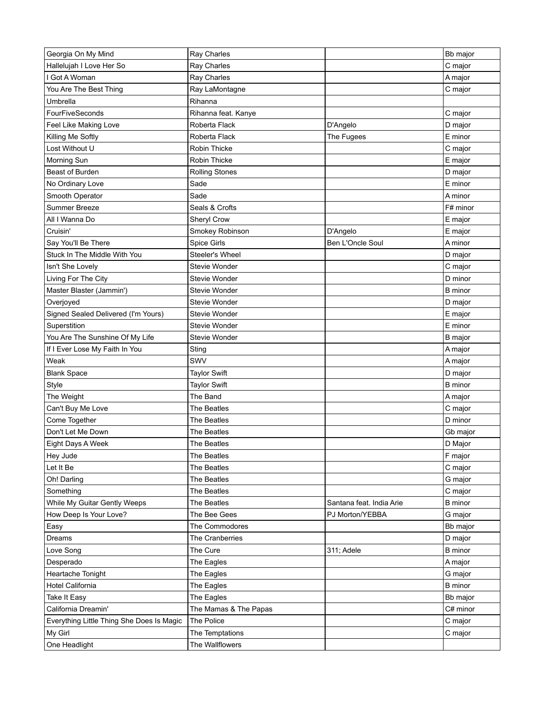| Hallelujah I Love Her So<br>C major<br>Ray Charles<br>I Got A Woman<br>Ray Charles<br>A major<br>You Are The Best Thing<br>Ray LaMontagne<br>C major<br>Umbrella<br>Rihanna<br>FourFiveSeconds<br>Rihanna feat. Kanye<br>C major<br>Feel Like Making Love<br>Roberta Flack<br>D'Angelo<br>D major<br>Roberta Flack<br>The Fugees<br>E minor<br>Killing Me Softly<br>Lost Without U<br>Robin Thicke<br>C major<br>Morning Sun<br>Robin Thicke<br>E major<br>Beast of Burden<br><b>Rolling Stones</b><br>D major<br>No Ordinary Love<br>Sade<br>E minor<br>Smooth Operator<br>Sade<br>A minor<br>Summer Breeze<br>Seals & Crofts<br>F# minor<br>All I Wanna Do<br>Sheryl Crow<br>E major<br>Cruisin'<br>Smokey Robinson<br>E major<br>D'Angelo<br>Spice Girls<br>Ben L'Oncle Soul<br>Say You'll Be There<br>A minor<br>Stuck In The Middle With You<br>Steeler's Wheel<br>D major<br>Isn't She Lovely<br>Stevie Wonder<br>C major<br>Living For The City<br>Stevie Wonder<br>D minor<br>Master Blaster (Jammin')<br>Stevie Wonder<br><b>B</b> minor<br>Overjoyed<br>Stevie Wonder<br>D major<br>E major<br>Signed Sealed Delivered (I'm Yours)<br><b>Stevie Wonder</b><br>E minor<br>Superstition<br>Stevie Wonder<br>You Are The Sunshine Of My Life<br>Stevie Wonder<br><b>B</b> major<br>If I Ever Lose My Faith In You<br>Sting<br>A major<br>SWV<br>Weak<br>A major<br><b>Blank Space</b><br><b>Taylor Swift</b><br>D major<br>Style<br><b>Taylor Swift</b><br><b>B</b> minor<br>The Weight<br>The Band<br>A major<br>Can't Buy Me Love<br>The Beatles<br>C major<br>Come Together<br>D minor<br>The Beatles<br>Don't Let Me Down<br>The Beatles<br>Gb major<br>D Major<br>Eight Days A Week<br>The Beatles<br>F major<br>Hey Jude<br>The Beatles<br>Let It Be<br>The Beatles<br>C major<br>Oh! Darling<br>The Beatles<br>G major<br>Something<br>The Beatles<br>C major<br>The Beatles<br>While My Guitar Gently Weeps<br>Santana feat. India Arie<br><b>B</b> minor<br>How Deep Is Your Love?<br>The Bee Gees<br>PJ Morton/YEBBA<br>G major<br>The Commodores<br>Easy<br>Bb major<br>Dreams<br>The Cranberries<br>D major<br>The Cure<br>Love Song<br>311; Adele<br><b>B</b> minor<br>The Eagles<br>Desperado<br>A major<br>Heartache Tonight<br>The Eagles<br>G major<br>Hotel California<br>The Eagles<br><b>B</b> minor<br>The Eagles<br>Take It Easy<br>Bb major<br>California Dreamin'<br>The Mamas & The Papas<br>C# minor<br>The Police<br>Everything Little Thing She Does Is Magic<br>C major<br>My Girl<br>C major<br>The Temptations<br>One Headlight<br>The Wallflowers | Georgia On My Mind | Ray Charles | Bb major |
|------------------------------------------------------------------------------------------------------------------------------------------------------------------------------------------------------------------------------------------------------------------------------------------------------------------------------------------------------------------------------------------------------------------------------------------------------------------------------------------------------------------------------------------------------------------------------------------------------------------------------------------------------------------------------------------------------------------------------------------------------------------------------------------------------------------------------------------------------------------------------------------------------------------------------------------------------------------------------------------------------------------------------------------------------------------------------------------------------------------------------------------------------------------------------------------------------------------------------------------------------------------------------------------------------------------------------------------------------------------------------------------------------------------------------------------------------------------------------------------------------------------------------------------------------------------------------------------------------------------------------------------------------------------------------------------------------------------------------------------------------------------------------------------------------------------------------------------------------------------------------------------------------------------------------------------------------------------------------------------------------------------------------------------------------------------------------------------------------------------------------------------------------------------------------------------------------------------------------------------------------------------------------------------------------------------------------------------------------------------------------------------------------------------------------------------------------------------------------------------------------------------------------------------------------------------------------------------|--------------------|-------------|----------|
|                                                                                                                                                                                                                                                                                                                                                                                                                                                                                                                                                                                                                                                                                                                                                                                                                                                                                                                                                                                                                                                                                                                                                                                                                                                                                                                                                                                                                                                                                                                                                                                                                                                                                                                                                                                                                                                                                                                                                                                                                                                                                                                                                                                                                                                                                                                                                                                                                                                                                                                                                                                          |                    |             |          |
|                                                                                                                                                                                                                                                                                                                                                                                                                                                                                                                                                                                                                                                                                                                                                                                                                                                                                                                                                                                                                                                                                                                                                                                                                                                                                                                                                                                                                                                                                                                                                                                                                                                                                                                                                                                                                                                                                                                                                                                                                                                                                                                                                                                                                                                                                                                                                                                                                                                                                                                                                                                          |                    |             |          |
|                                                                                                                                                                                                                                                                                                                                                                                                                                                                                                                                                                                                                                                                                                                                                                                                                                                                                                                                                                                                                                                                                                                                                                                                                                                                                                                                                                                                                                                                                                                                                                                                                                                                                                                                                                                                                                                                                                                                                                                                                                                                                                                                                                                                                                                                                                                                                                                                                                                                                                                                                                                          |                    |             |          |
|                                                                                                                                                                                                                                                                                                                                                                                                                                                                                                                                                                                                                                                                                                                                                                                                                                                                                                                                                                                                                                                                                                                                                                                                                                                                                                                                                                                                                                                                                                                                                                                                                                                                                                                                                                                                                                                                                                                                                                                                                                                                                                                                                                                                                                                                                                                                                                                                                                                                                                                                                                                          |                    |             |          |
|                                                                                                                                                                                                                                                                                                                                                                                                                                                                                                                                                                                                                                                                                                                                                                                                                                                                                                                                                                                                                                                                                                                                                                                                                                                                                                                                                                                                                                                                                                                                                                                                                                                                                                                                                                                                                                                                                                                                                                                                                                                                                                                                                                                                                                                                                                                                                                                                                                                                                                                                                                                          |                    |             |          |
|                                                                                                                                                                                                                                                                                                                                                                                                                                                                                                                                                                                                                                                                                                                                                                                                                                                                                                                                                                                                                                                                                                                                                                                                                                                                                                                                                                                                                                                                                                                                                                                                                                                                                                                                                                                                                                                                                                                                                                                                                                                                                                                                                                                                                                                                                                                                                                                                                                                                                                                                                                                          |                    |             |          |
|                                                                                                                                                                                                                                                                                                                                                                                                                                                                                                                                                                                                                                                                                                                                                                                                                                                                                                                                                                                                                                                                                                                                                                                                                                                                                                                                                                                                                                                                                                                                                                                                                                                                                                                                                                                                                                                                                                                                                                                                                                                                                                                                                                                                                                                                                                                                                                                                                                                                                                                                                                                          |                    |             |          |
|                                                                                                                                                                                                                                                                                                                                                                                                                                                                                                                                                                                                                                                                                                                                                                                                                                                                                                                                                                                                                                                                                                                                                                                                                                                                                                                                                                                                                                                                                                                                                                                                                                                                                                                                                                                                                                                                                                                                                                                                                                                                                                                                                                                                                                                                                                                                                                                                                                                                                                                                                                                          |                    |             |          |
|                                                                                                                                                                                                                                                                                                                                                                                                                                                                                                                                                                                                                                                                                                                                                                                                                                                                                                                                                                                                                                                                                                                                                                                                                                                                                                                                                                                                                                                                                                                                                                                                                                                                                                                                                                                                                                                                                                                                                                                                                                                                                                                                                                                                                                                                                                                                                                                                                                                                                                                                                                                          |                    |             |          |
|                                                                                                                                                                                                                                                                                                                                                                                                                                                                                                                                                                                                                                                                                                                                                                                                                                                                                                                                                                                                                                                                                                                                                                                                                                                                                                                                                                                                                                                                                                                                                                                                                                                                                                                                                                                                                                                                                                                                                                                                                                                                                                                                                                                                                                                                                                                                                                                                                                                                                                                                                                                          |                    |             |          |
|                                                                                                                                                                                                                                                                                                                                                                                                                                                                                                                                                                                                                                                                                                                                                                                                                                                                                                                                                                                                                                                                                                                                                                                                                                                                                                                                                                                                                                                                                                                                                                                                                                                                                                                                                                                                                                                                                                                                                                                                                                                                                                                                                                                                                                                                                                                                                                                                                                                                                                                                                                                          |                    |             |          |
|                                                                                                                                                                                                                                                                                                                                                                                                                                                                                                                                                                                                                                                                                                                                                                                                                                                                                                                                                                                                                                                                                                                                                                                                                                                                                                                                                                                                                                                                                                                                                                                                                                                                                                                                                                                                                                                                                                                                                                                                                                                                                                                                                                                                                                                                                                                                                                                                                                                                                                                                                                                          |                    |             |          |
|                                                                                                                                                                                                                                                                                                                                                                                                                                                                                                                                                                                                                                                                                                                                                                                                                                                                                                                                                                                                                                                                                                                                                                                                                                                                                                                                                                                                                                                                                                                                                                                                                                                                                                                                                                                                                                                                                                                                                                                                                                                                                                                                                                                                                                                                                                                                                                                                                                                                                                                                                                                          |                    |             |          |
|                                                                                                                                                                                                                                                                                                                                                                                                                                                                                                                                                                                                                                                                                                                                                                                                                                                                                                                                                                                                                                                                                                                                                                                                                                                                                                                                                                                                                                                                                                                                                                                                                                                                                                                                                                                                                                                                                                                                                                                                                                                                                                                                                                                                                                                                                                                                                                                                                                                                                                                                                                                          |                    |             |          |
|                                                                                                                                                                                                                                                                                                                                                                                                                                                                                                                                                                                                                                                                                                                                                                                                                                                                                                                                                                                                                                                                                                                                                                                                                                                                                                                                                                                                                                                                                                                                                                                                                                                                                                                                                                                                                                                                                                                                                                                                                                                                                                                                                                                                                                                                                                                                                                                                                                                                                                                                                                                          |                    |             |          |
|                                                                                                                                                                                                                                                                                                                                                                                                                                                                                                                                                                                                                                                                                                                                                                                                                                                                                                                                                                                                                                                                                                                                                                                                                                                                                                                                                                                                                                                                                                                                                                                                                                                                                                                                                                                                                                                                                                                                                                                                                                                                                                                                                                                                                                                                                                                                                                                                                                                                                                                                                                                          |                    |             |          |
|                                                                                                                                                                                                                                                                                                                                                                                                                                                                                                                                                                                                                                                                                                                                                                                                                                                                                                                                                                                                                                                                                                                                                                                                                                                                                                                                                                                                                                                                                                                                                                                                                                                                                                                                                                                                                                                                                                                                                                                                                                                                                                                                                                                                                                                                                                                                                                                                                                                                                                                                                                                          |                    |             |          |
|                                                                                                                                                                                                                                                                                                                                                                                                                                                                                                                                                                                                                                                                                                                                                                                                                                                                                                                                                                                                                                                                                                                                                                                                                                                                                                                                                                                                                                                                                                                                                                                                                                                                                                                                                                                                                                                                                                                                                                                                                                                                                                                                                                                                                                                                                                                                                                                                                                                                                                                                                                                          |                    |             |          |
|                                                                                                                                                                                                                                                                                                                                                                                                                                                                                                                                                                                                                                                                                                                                                                                                                                                                                                                                                                                                                                                                                                                                                                                                                                                                                                                                                                                                                                                                                                                                                                                                                                                                                                                                                                                                                                                                                                                                                                                                                                                                                                                                                                                                                                                                                                                                                                                                                                                                                                                                                                                          |                    |             |          |
|                                                                                                                                                                                                                                                                                                                                                                                                                                                                                                                                                                                                                                                                                                                                                                                                                                                                                                                                                                                                                                                                                                                                                                                                                                                                                                                                                                                                                                                                                                                                                                                                                                                                                                                                                                                                                                                                                                                                                                                                                                                                                                                                                                                                                                                                                                                                                                                                                                                                                                                                                                                          |                    |             |          |
|                                                                                                                                                                                                                                                                                                                                                                                                                                                                                                                                                                                                                                                                                                                                                                                                                                                                                                                                                                                                                                                                                                                                                                                                                                                                                                                                                                                                                                                                                                                                                                                                                                                                                                                                                                                                                                                                                                                                                                                                                                                                                                                                                                                                                                                                                                                                                                                                                                                                                                                                                                                          |                    |             |          |
|                                                                                                                                                                                                                                                                                                                                                                                                                                                                                                                                                                                                                                                                                                                                                                                                                                                                                                                                                                                                                                                                                                                                                                                                                                                                                                                                                                                                                                                                                                                                                                                                                                                                                                                                                                                                                                                                                                                                                                                                                                                                                                                                                                                                                                                                                                                                                                                                                                                                                                                                                                                          |                    |             |          |
|                                                                                                                                                                                                                                                                                                                                                                                                                                                                                                                                                                                                                                                                                                                                                                                                                                                                                                                                                                                                                                                                                                                                                                                                                                                                                                                                                                                                                                                                                                                                                                                                                                                                                                                                                                                                                                                                                                                                                                                                                                                                                                                                                                                                                                                                                                                                                                                                                                                                                                                                                                                          |                    |             |          |
|                                                                                                                                                                                                                                                                                                                                                                                                                                                                                                                                                                                                                                                                                                                                                                                                                                                                                                                                                                                                                                                                                                                                                                                                                                                                                                                                                                                                                                                                                                                                                                                                                                                                                                                                                                                                                                                                                                                                                                                                                                                                                                                                                                                                                                                                                                                                                                                                                                                                                                                                                                                          |                    |             |          |
|                                                                                                                                                                                                                                                                                                                                                                                                                                                                                                                                                                                                                                                                                                                                                                                                                                                                                                                                                                                                                                                                                                                                                                                                                                                                                                                                                                                                                                                                                                                                                                                                                                                                                                                                                                                                                                                                                                                                                                                                                                                                                                                                                                                                                                                                                                                                                                                                                                                                                                                                                                                          |                    |             |          |
|                                                                                                                                                                                                                                                                                                                                                                                                                                                                                                                                                                                                                                                                                                                                                                                                                                                                                                                                                                                                                                                                                                                                                                                                                                                                                                                                                                                                                                                                                                                                                                                                                                                                                                                                                                                                                                                                                                                                                                                                                                                                                                                                                                                                                                                                                                                                                                                                                                                                                                                                                                                          |                    |             |          |
|                                                                                                                                                                                                                                                                                                                                                                                                                                                                                                                                                                                                                                                                                                                                                                                                                                                                                                                                                                                                                                                                                                                                                                                                                                                                                                                                                                                                                                                                                                                                                                                                                                                                                                                                                                                                                                                                                                                                                                                                                                                                                                                                                                                                                                                                                                                                                                                                                                                                                                                                                                                          |                    |             |          |
|                                                                                                                                                                                                                                                                                                                                                                                                                                                                                                                                                                                                                                                                                                                                                                                                                                                                                                                                                                                                                                                                                                                                                                                                                                                                                                                                                                                                                                                                                                                                                                                                                                                                                                                                                                                                                                                                                                                                                                                                                                                                                                                                                                                                                                                                                                                                                                                                                                                                                                                                                                                          |                    |             |          |
|                                                                                                                                                                                                                                                                                                                                                                                                                                                                                                                                                                                                                                                                                                                                                                                                                                                                                                                                                                                                                                                                                                                                                                                                                                                                                                                                                                                                                                                                                                                                                                                                                                                                                                                                                                                                                                                                                                                                                                                                                                                                                                                                                                                                                                                                                                                                                                                                                                                                                                                                                                                          |                    |             |          |
|                                                                                                                                                                                                                                                                                                                                                                                                                                                                                                                                                                                                                                                                                                                                                                                                                                                                                                                                                                                                                                                                                                                                                                                                                                                                                                                                                                                                                                                                                                                                                                                                                                                                                                                                                                                                                                                                                                                                                                                                                                                                                                                                                                                                                                                                                                                                                                                                                                                                                                                                                                                          |                    |             |          |
|                                                                                                                                                                                                                                                                                                                                                                                                                                                                                                                                                                                                                                                                                                                                                                                                                                                                                                                                                                                                                                                                                                                                                                                                                                                                                                                                                                                                                                                                                                                                                                                                                                                                                                                                                                                                                                                                                                                                                                                                                                                                                                                                                                                                                                                                                                                                                                                                                                                                                                                                                                                          |                    |             |          |
|                                                                                                                                                                                                                                                                                                                                                                                                                                                                                                                                                                                                                                                                                                                                                                                                                                                                                                                                                                                                                                                                                                                                                                                                                                                                                                                                                                                                                                                                                                                                                                                                                                                                                                                                                                                                                                                                                                                                                                                                                                                                                                                                                                                                                                                                                                                                                                                                                                                                                                                                                                                          |                    |             |          |
|                                                                                                                                                                                                                                                                                                                                                                                                                                                                                                                                                                                                                                                                                                                                                                                                                                                                                                                                                                                                                                                                                                                                                                                                                                                                                                                                                                                                                                                                                                                                                                                                                                                                                                                                                                                                                                                                                                                                                                                                                                                                                                                                                                                                                                                                                                                                                                                                                                                                                                                                                                                          |                    |             |          |
|                                                                                                                                                                                                                                                                                                                                                                                                                                                                                                                                                                                                                                                                                                                                                                                                                                                                                                                                                                                                                                                                                                                                                                                                                                                                                                                                                                                                                                                                                                                                                                                                                                                                                                                                                                                                                                                                                                                                                                                                                                                                                                                                                                                                                                                                                                                                                                                                                                                                                                                                                                                          |                    |             |          |
|                                                                                                                                                                                                                                                                                                                                                                                                                                                                                                                                                                                                                                                                                                                                                                                                                                                                                                                                                                                                                                                                                                                                                                                                                                                                                                                                                                                                                                                                                                                                                                                                                                                                                                                                                                                                                                                                                                                                                                                                                                                                                                                                                                                                                                                                                                                                                                                                                                                                                                                                                                                          |                    |             |          |
|                                                                                                                                                                                                                                                                                                                                                                                                                                                                                                                                                                                                                                                                                                                                                                                                                                                                                                                                                                                                                                                                                                                                                                                                                                                                                                                                                                                                                                                                                                                                                                                                                                                                                                                                                                                                                                                                                                                                                                                                                                                                                                                                                                                                                                                                                                                                                                                                                                                                                                                                                                                          |                    |             |          |
|                                                                                                                                                                                                                                                                                                                                                                                                                                                                                                                                                                                                                                                                                                                                                                                                                                                                                                                                                                                                                                                                                                                                                                                                                                                                                                                                                                                                                                                                                                                                                                                                                                                                                                                                                                                                                                                                                                                                                                                                                                                                                                                                                                                                                                                                                                                                                                                                                                                                                                                                                                                          |                    |             |          |
|                                                                                                                                                                                                                                                                                                                                                                                                                                                                                                                                                                                                                                                                                                                                                                                                                                                                                                                                                                                                                                                                                                                                                                                                                                                                                                                                                                                                                                                                                                                                                                                                                                                                                                                                                                                                                                                                                                                                                                                                                                                                                                                                                                                                                                                                                                                                                                                                                                                                                                                                                                                          |                    |             |          |
|                                                                                                                                                                                                                                                                                                                                                                                                                                                                                                                                                                                                                                                                                                                                                                                                                                                                                                                                                                                                                                                                                                                                                                                                                                                                                                                                                                                                                                                                                                                                                                                                                                                                                                                                                                                                                                                                                                                                                                                                                                                                                                                                                                                                                                                                                                                                                                                                                                                                                                                                                                                          |                    |             |          |
|                                                                                                                                                                                                                                                                                                                                                                                                                                                                                                                                                                                                                                                                                                                                                                                                                                                                                                                                                                                                                                                                                                                                                                                                                                                                                                                                                                                                                                                                                                                                                                                                                                                                                                                                                                                                                                                                                                                                                                                                                                                                                                                                                                                                                                                                                                                                                                                                                                                                                                                                                                                          |                    |             |          |
|                                                                                                                                                                                                                                                                                                                                                                                                                                                                                                                                                                                                                                                                                                                                                                                                                                                                                                                                                                                                                                                                                                                                                                                                                                                                                                                                                                                                                                                                                                                                                                                                                                                                                                                                                                                                                                                                                                                                                                                                                                                                                                                                                                                                                                                                                                                                                                                                                                                                                                                                                                                          |                    |             |          |
|                                                                                                                                                                                                                                                                                                                                                                                                                                                                                                                                                                                                                                                                                                                                                                                                                                                                                                                                                                                                                                                                                                                                                                                                                                                                                                                                                                                                                                                                                                                                                                                                                                                                                                                                                                                                                                                                                                                                                                                                                                                                                                                                                                                                                                                                                                                                                                                                                                                                                                                                                                                          |                    |             |          |
|                                                                                                                                                                                                                                                                                                                                                                                                                                                                                                                                                                                                                                                                                                                                                                                                                                                                                                                                                                                                                                                                                                                                                                                                                                                                                                                                                                                                                                                                                                                                                                                                                                                                                                                                                                                                                                                                                                                                                                                                                                                                                                                                                                                                                                                                                                                                                                                                                                                                                                                                                                                          |                    |             |          |
|                                                                                                                                                                                                                                                                                                                                                                                                                                                                                                                                                                                                                                                                                                                                                                                                                                                                                                                                                                                                                                                                                                                                                                                                                                                                                                                                                                                                                                                                                                                                                                                                                                                                                                                                                                                                                                                                                                                                                                                                                                                                                                                                                                                                                                                                                                                                                                                                                                                                                                                                                                                          |                    |             |          |
|                                                                                                                                                                                                                                                                                                                                                                                                                                                                                                                                                                                                                                                                                                                                                                                                                                                                                                                                                                                                                                                                                                                                                                                                                                                                                                                                                                                                                                                                                                                                                                                                                                                                                                                                                                                                                                                                                                                                                                                                                                                                                                                                                                                                                                                                                                                                                                                                                                                                                                                                                                                          |                    |             |          |
|                                                                                                                                                                                                                                                                                                                                                                                                                                                                                                                                                                                                                                                                                                                                                                                                                                                                                                                                                                                                                                                                                                                                                                                                                                                                                                                                                                                                                                                                                                                                                                                                                                                                                                                                                                                                                                                                                                                                                                                                                                                                                                                                                                                                                                                                                                                                                                                                                                                                                                                                                                                          |                    |             |          |
|                                                                                                                                                                                                                                                                                                                                                                                                                                                                                                                                                                                                                                                                                                                                                                                                                                                                                                                                                                                                                                                                                                                                                                                                                                                                                                                                                                                                                                                                                                                                                                                                                                                                                                                                                                                                                                                                                                                                                                                                                                                                                                                                                                                                                                                                                                                                                                                                                                                                                                                                                                                          |                    |             |          |
|                                                                                                                                                                                                                                                                                                                                                                                                                                                                                                                                                                                                                                                                                                                                                                                                                                                                                                                                                                                                                                                                                                                                                                                                                                                                                                                                                                                                                                                                                                                                                                                                                                                                                                                                                                                                                                                                                                                                                                                                                                                                                                                                                                                                                                                                                                                                                                                                                                                                                                                                                                                          |                    |             |          |
|                                                                                                                                                                                                                                                                                                                                                                                                                                                                                                                                                                                                                                                                                                                                                                                                                                                                                                                                                                                                                                                                                                                                                                                                                                                                                                                                                                                                                                                                                                                                                                                                                                                                                                                                                                                                                                                                                                                                                                                                                                                                                                                                                                                                                                                                                                                                                                                                                                                                                                                                                                                          |                    |             |          |
|                                                                                                                                                                                                                                                                                                                                                                                                                                                                                                                                                                                                                                                                                                                                                                                                                                                                                                                                                                                                                                                                                                                                                                                                                                                                                                                                                                                                                                                                                                                                                                                                                                                                                                                                                                                                                                                                                                                                                                                                                                                                                                                                                                                                                                                                                                                                                                                                                                                                                                                                                                                          |                    |             |          |